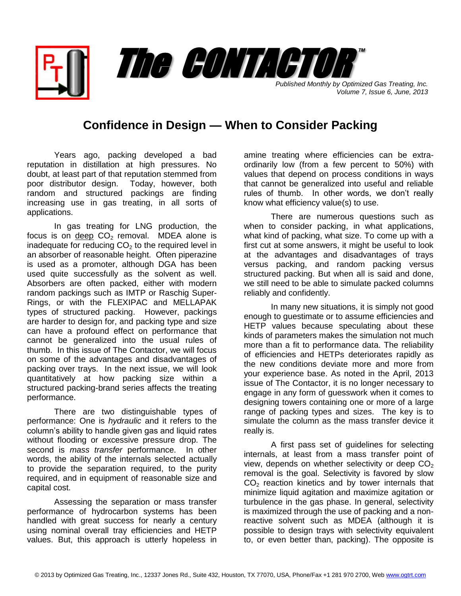*Published Monthly by Optimized Gas Treating, Inc. Volume 7, Issue 6, June, 2013*

™

## **Confidence in Design — When to Consider Packing**

The CONTACTOR

Years ago, packing developed a bad reputation in distillation at high pressures. No doubt, at least part of that reputation stemmed from poor distributor design. Today, however, both random and structured packings are finding increasing use in gas treating, in all sorts of applications.

In gas treating for LNG production, the focus is on deep  $CO<sub>2</sub>$  removal. MDEA alone is inadequate for reducing  $CO<sub>2</sub>$  to the required level in an absorber of reasonable height. Often piperazine is used as a promoter, although DGA has been used quite successfully as the solvent as well. Absorbers are often packed, either with modern random packings such as IMTP or Raschig Super-Rings, or with the FLEXIPAC and MELLAPAK types of structured packing. However, packings are harder to design for, and packing type and size can have a profound effect on performance that cannot be generalized into the usual rules of thumb. In this issue of The Contactor, we will focus on some of the advantages and disadvantages of packing over trays. In the next issue, we will look quantitatively at how packing size within a structured packing-brand series affects the treating performance.

There are two distinguishable types of performance: One is *hydraulic* and it refers to the column's ability to handle given gas and liquid rates without flooding or excessive pressure drop. The second is *mass transfer* performance. In other words, the ability of the internals selected actually to provide the separation required, to the purity required, and in equipment of reasonable size and capital cost.

Assessing the separation or mass transfer performance of hydrocarbon systems has been handled with great success for nearly a century using nominal overall tray efficiencies and HETP values. But, this approach is utterly hopeless in amine treating where efficiencies can be extraordinarily low (from a few percent to 50%) with values that depend on process conditions in ways that cannot be generalized into useful and reliable rules of thumb. In other words, we don't really know what efficiency value(s) to use.

There are numerous questions such as when to consider packing, in what applications, what kind of packing, what size. To come up with a first cut at some answers, it might be useful to look at the advantages and disadvantages of trays versus packing, and random packing versus structured packing. But when all is said and done, we still need to be able to simulate packed columns reliably and confidently.

In many new situations, it is simply not good enough to guestimate or to assume efficiencies and HETP values because speculating about these kinds of parameters makes the simulation not much more than a fit to performance data. The reliability of efficiencies and HETPs deteriorates rapidly as the new conditions deviate more and more from your experience base. As noted in the April, 2013 issue of The Contactor, it is no longer necessary to engage in any form of guesswork when it comes to designing towers containing one or more of a large range of packing types and sizes. The key is to simulate the column as the mass transfer device it really is.

A first pass set of guidelines for selecting internals, at least from a mass transfer point of view, depends on whether selectivity or deep  $CO<sub>2</sub>$ removal is the goal. Selectivity is favored by slow  $CO<sub>2</sub>$  reaction kinetics and by tower internals that minimize liquid agitation and maximize agitation or turbulence in the gas phase. In general, selectivity is maximized through the use of packing and a nonreactive solvent such as MDEA (although it is possible to design trays with selectivity equivalent to, or even better than, packing). The opposite is